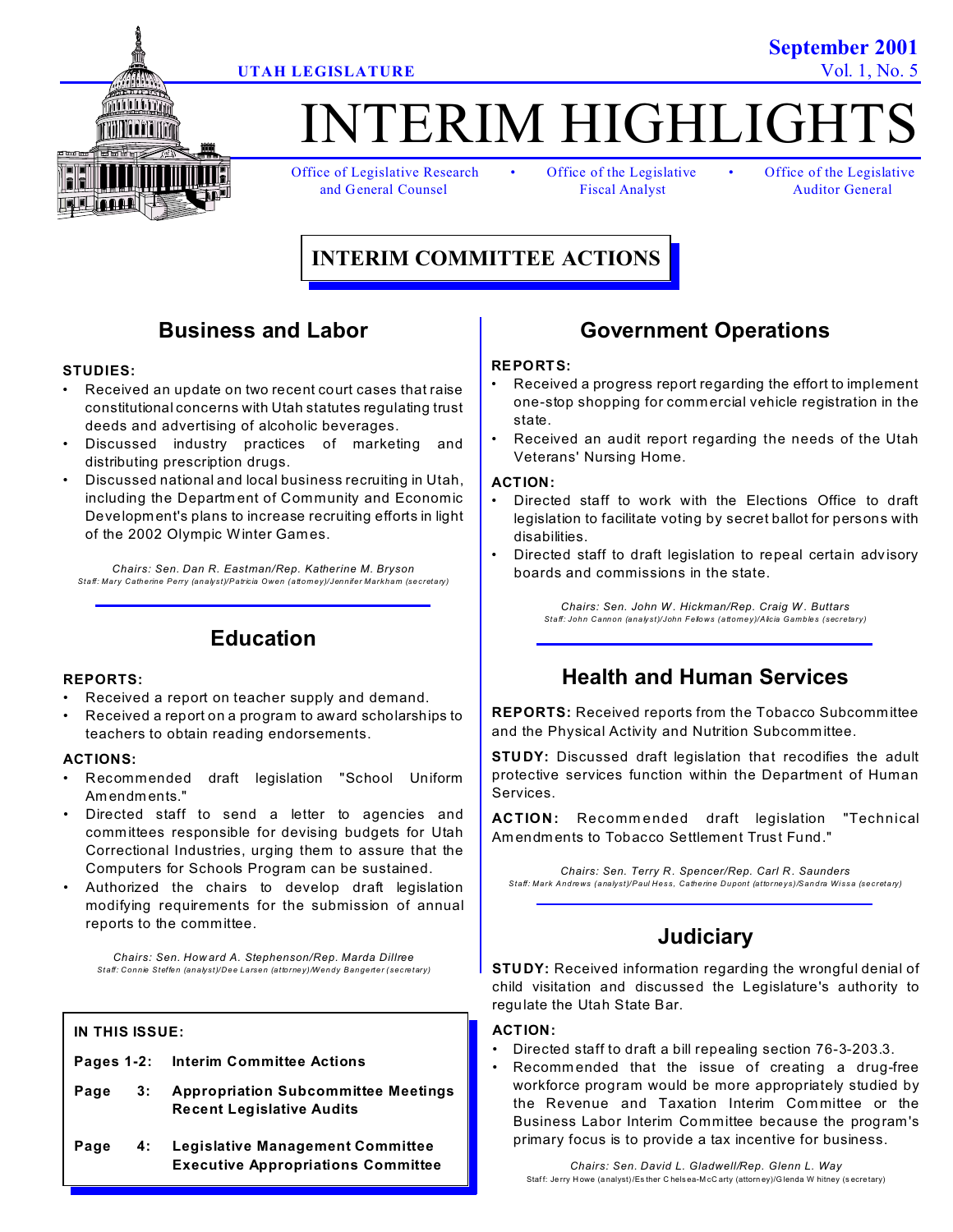

# TERIM HIGHLIGH

Office of Legislative Research • Office of the Legislative • Office of the Legislative and General Counsel **Fiscal Analyst** Auditor General

## **INTERIM COMMITTEE ACTIONS**

### **Business and Labor**

### **STUDIES:**

- Received an update on two recent court cases that raise constitutional concerns with Utah statutes regulating trust deeds and advertising of alcoholic beverages.
- Discussed industry practices of marketing and distributing prescription drugs.
- Discussed national and local business recruiting in Utah, including the Departm ent of Community and Economic Development's plans to increase recruiting efforts in light of the 2002 Olympic Winter Games.

*Chairs: Sen. Dan R. Eastman/Rep. Katherine M. Bryson Staff: Mary Catherine Perry (analyst)/Patricia Owen (attorney)/Jennifer Markham (secretary)*

### **Education**

### **REPORTS:**

- Received a report on teacher supply and demand.
- Received a report on a program to award scholarships to teachers to obtain reading endorsements.

### **ACTIONS:**

- Recommended draft legislation "School Uniform Am endm ents."
- Directed staff to send a letter to agencies and committees responsible for devising budgets for Utah Correctional Industries, urging them to assure that the Computers for Schools Program can be sustained.
- Authorized the chairs to develop draft legislation modifying requirements for the submission of annual reports to the committee.

*Chairs: Sen. How ard A. Stephenson/Rep. Marda Dillree Staff: Connie Steffen (analyst)/Dee Larsen (attorney)/Wendy Bangerter (secretary)*

### **IN THIS ISSUE:**

- **Pages 1-2: Interim Committee Actions**
- **Page 3: Appropriation Subcommittee Meetings Recent Legislative Audits**
- **Page 4: Legislative Management Committee Executive Appropriations Committee**

### **Government Operations**

### **REPORTS:**

- Received a progress report regarding the effort to implement one-stop shopping for commercial vehicle registration in the state.
- Received an audit report regarding the needs of the Utah Veterans' Nursing Home.

#### **ACTION:**

- Directed staff to work with the Elections Office to draft legislation to facilitate voting by secret ballot for persons with disabilities.
- Directed staff to draft legislation to repeal certain adv isory boards and commissions in the state.

*Chairs: Sen. John W . Hickman/Rep. Craig W . Buttars Staff: John Cannon (analyst)/John Fellows (attorney)/Alicia Gambles (secretary)*

### **Health and Human Services**

**REPORTS:** Received reports from the Tobacco Subcommittee and the Physical Activity and Nutrition Subcommittee.

**STUDY:** Discussed draft legislation that recodifies the adult protective services function within the Department of Human Services.

**ACTION:** Recomm ended draft legislation "Technical Am endm ents to Tobacco Settlement Trust Fund."

*Chairs: Sen. Terry R. Spencer/Rep. Carl R. Saunders Staff: Mark Andrews (analyst)/Paul Hess, Catherine Dupont (attorneys)/Sandra Wissa (secretary)*

### **Judiciary**

**STUDY:** Received information regarding the wrongful denial of child visitation and discussed the Legislature's authority to regulate the Utah State Bar.

### **ACTION:**

- Directed staff to draft a bill repealing section 76-3-203.3.
- Recommended that the issue of creating a drug-free workforce program would be more appropriately studied by the Revenue and Taxation Interim Com mittee or the Business Labor Interim Committee because the program's primary focus is to provide a tax incentive for business.

**September 2001 UTAH LEGISLATURE** Vol. 1, No. 5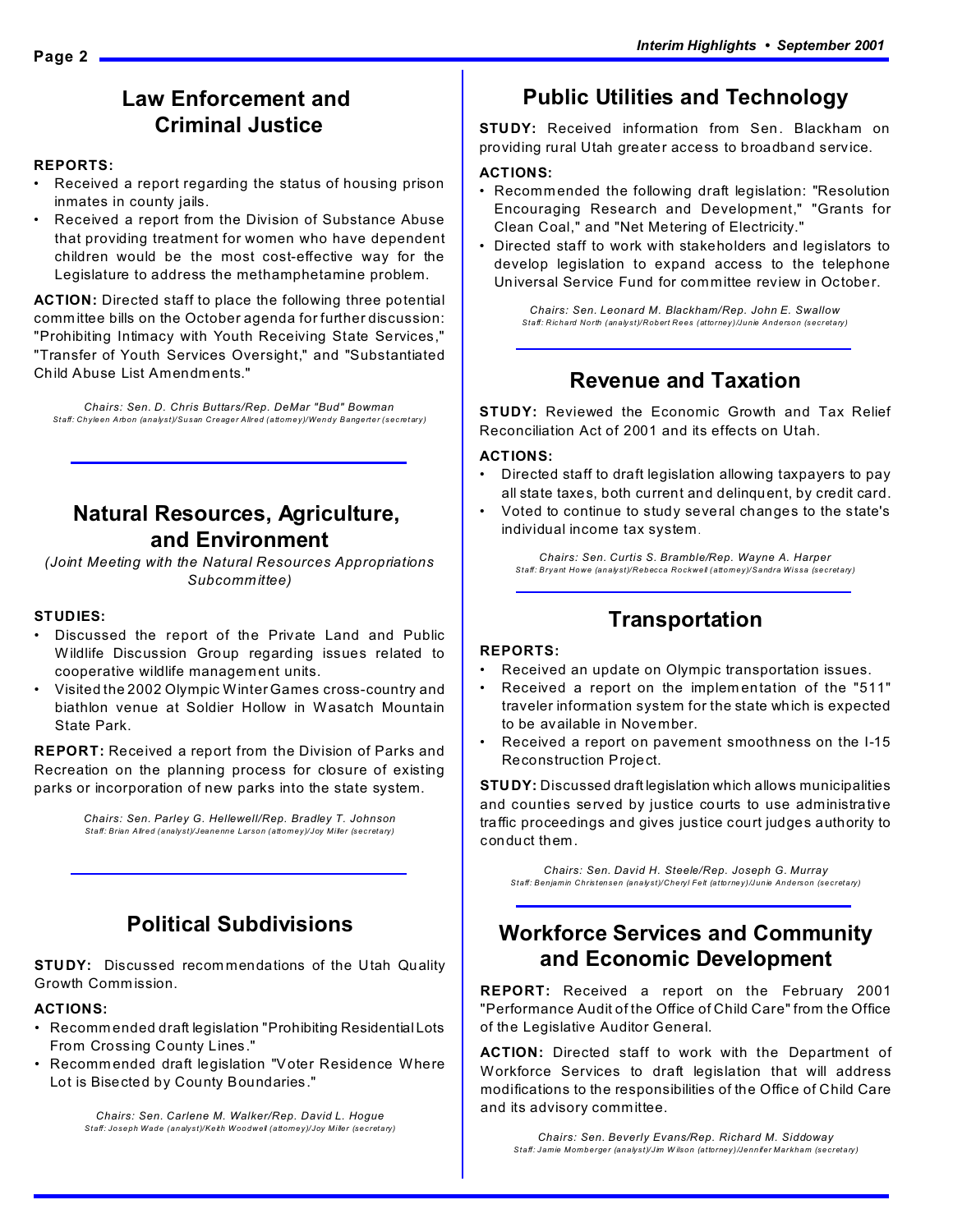### **Law Enforcement and Criminal Justice**

### **REPORTS:**

- Received a report regarding the status of housing prison inmates in county jails.
- Received a report from the Division of Substance Abuse that providing treatment for women who have dependent children would be the most cost-effective way for the Legislature to address the methamphetamine problem.

**ACTION:** Directed staff to place the following three potential committee bills on the October agenda for further discussion: "Prohibiting Intimacy with Youth Receiving State Services," "Transfer of Youth Services Oversight," and "Substantiated Child Abuse List Amendm ents."

*Chairs: Sen. D. Chris Buttars/Rep. DeMar "Bud" Bowman Staff: Chyleen Arbon (analyst)/Susan Creager Allred (attorney)/Wendy Bangerter (secretary)*

### **Natural Resources, Agriculture, and Environment**

*(Joint Meeting with the Natural Resources Appropriations Subcomm ittee)*

### **STUDIES:**

- Discussed the report of the Private Land and Public Wildlife Discussion Group regarding issues related to cooperative wildlife management units.
- Visited the 2002 Olympic Winter Games cross-country and biathlon venue at Soldier Hollow in Wasatch Mountain State Park.

**REPORT:** Received a report from the Division of Parks and Recreation on the planning process for closure of existing parks or incorporation of new parks into the state system.

> *Chairs: Sen. Parley G. Hellewell/Rep. Bradley T. Johnson Staff: Brian Allred (analyst)/Jeanenne Larson (attorney)/Joy Miller (secretary)*

### **Political Subdivisions**

**STUDY:** Discussed recom mendations of the Utah Quality Growth Comm ission.

### **ACTIONS:**

- Recomm ended draft legislation "Prohibiting Residential Lots From Crossing County Lines."
- Recomm ended draft legislation "Voter Residence Where Lot is Bisected by County Boundaries."

*Chairs: Sen. Carlene M. Walker/Rep. David L. Hogue Staff: Joseph Wade (analyst)/Keith Woodwell (attorney)/Joy Miller (secretary)*

### **Public Utilities and Technology**

**STUDY:** Received information from Sen. Blackham on providing rural Utah greater access to broadband service.

### **ACTIONS:**

- Recommended the following draft legislation: "Resolution Encouraging Research and Development," "Grants for Clean Coal," and "Net Metering of Electricity."
- Directed staff to work with stakeholders and legislators to develop legislation to expand access to the telephone Universal Service Fund for committee review in October.

*Chairs: Sen. Leonard M. Blackham/Rep. John E. Swallow Staff: Richard North (analyst)/Robert Rees (attorney)/Junie Anderson (secretary)*

### **Revenue and Taxation**

**STUDY:** Reviewed the Economic Growth and Tax Relief Reconciliation Act of 2001 and its effects on Utah.

#### **ACTIONS:**

- Directed staff to draft legislation allowing taxpayers to pay all state taxes, both current and delinquent, by credit card.
- Voted to continue to study several changes to the state's individual income tax system.

*Chairs: Sen. Curtis S. Bramble/Rep. Wayne A. Harper Staff: Bryant Howe (analyst)/Rebecca Rockwell (attorney)/Sandra Wissa (secretary)*

### **Transportation**

### **REPORTS:**

- Received an update on Olympic transportation issues.
- Received a report on the implem entation of the "511" traveler information system for the state which is expected to be available in November.
- Received a report on pavement smoothness on the I-15 Reconstruction Project.

**STUDY:** Discussed draft legislation which allows municipalities and counties served by justice courts to use administrative traffic proceedings and gives justice court judges authority to conduct them.

*Chairs: Sen. David H. Steele/Rep. Joseph G. Murray Staff: Benjamin Christensen (analyst)/Cheryl Felt (attorney)/Junie Anderson (secretary)*

### **Workforce Services and Community and Economic Development**

**REPORT:** Received a report on the February 2001 "Performance Audit of the Office of Child Care" from the Office of the Legislative Auditor General.

**ACTION:** Directed staff to work with the Department of Workforce Services to draft legislation that will address modifications to the responsibilities of the Office of Child Care and its advisory committee.

*Chairs: Sen. Beverly Evans/Rep. Richard M. Siddoway Staff: Jamie Momberger (analyst)/Jim W ilson (attorney)/Jennifer Markham (secretary)*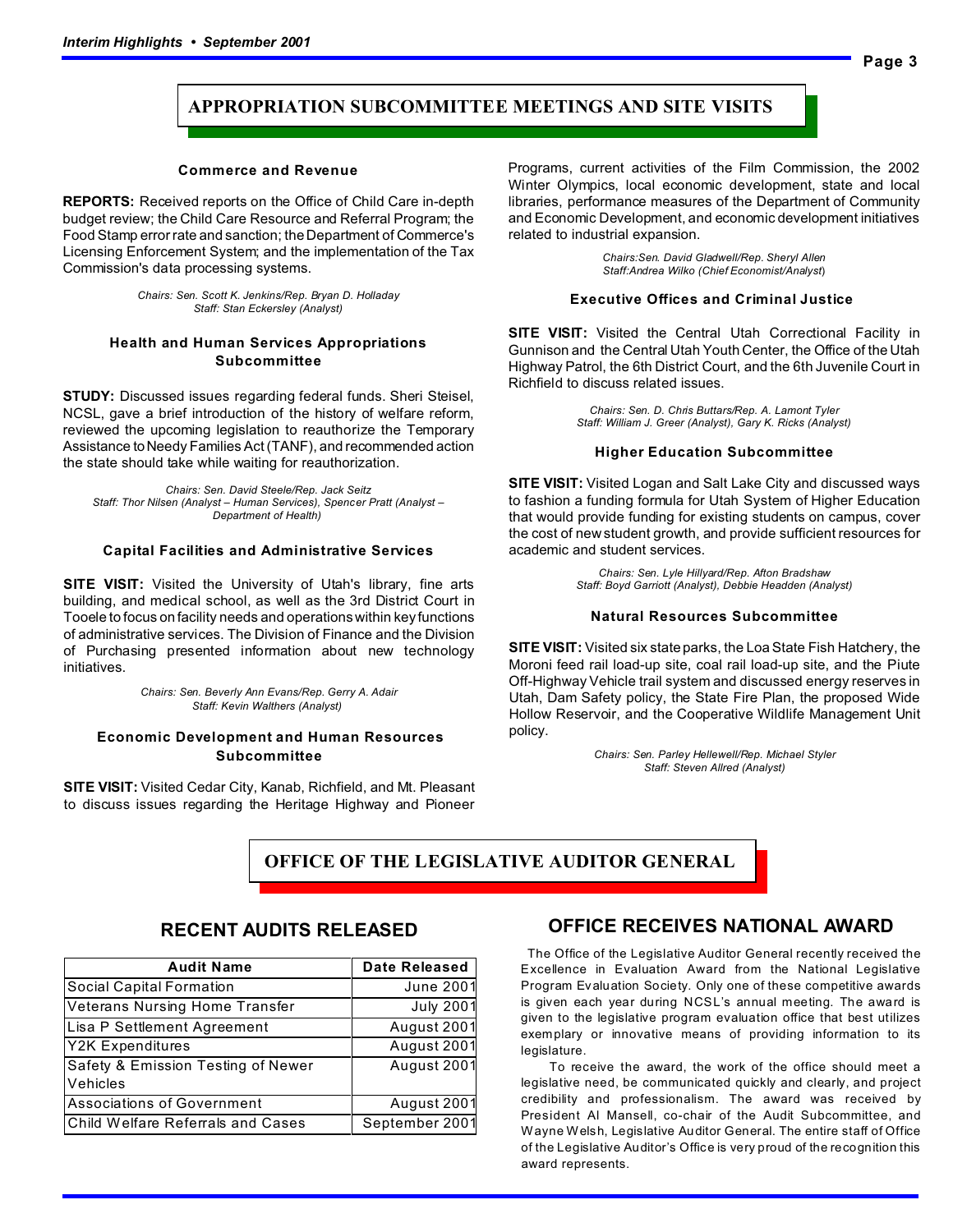### **APPROPRIATION SUBCOMMITTEE MEETINGS AND SITE VISITS**

#### **Commerce and Revenue**

**REPORTS:** Received reports on the Office of Child Care in-depth budget review; the Child Care Resource and Referral Program; the Food Stamp error rate and sanction; the Department of Commerce's Licensing Enforcement System; and the implementation of the Tax Commission's data processing systems.

> *Chairs: Sen. Scott K. Jenkins/Rep. Bryan D. Holladay Staff: Stan Eckersley (Analyst)*

### **Health and Human Services Appropriations Subcommittee**

**STUDY:** Discussed issues regarding federal funds. Sheri Steisel, NCSL, gave a brief introduction of the history of welfare reform, reviewed the upcoming legislation to reauthorize the Temporary Assistance to Needy Families Act (TANF), and recommended action the state should take while waiting for reauthorization.

*Chairs: Sen. David Steele/Rep. Jack Seitz Staff: Thor Nilsen (Analyst – Human Services), Spencer Pratt (Analyst – Department of Health)* 

#### **Capital Facilities and Administrative Services**

**SITE VISIT:** Visited the University of Utah's library, fine arts building, and medical school, as well as the 3rd District Court in Tooele to focus on facility needs and operations within key functions of administrative services. The Division of Finance and the Division of Purchasing presented information about new technology initiatives.

> *Chairs: Sen. Beverly Ann Evans/Rep. Gerry A. Adair Staff: Kevin Walthers (Analyst)*

#### **Economic Development and Human Resources Subcommittee**

**SITE VISIT:** Visited Cedar City, Kanab, Richfield, and Mt. Pleasant to discuss issues regarding the Heritage Highway and Pioneer

Programs, current activities of the Film Commission, the 2002 Winter Olympics, local economic development, state and local libraries, performance measures of the Department of Community and Economic Development, and economic development initiatives related to industrial expansion.

> *Chairs:Sen. David Gladwell/Rep. Sheryl Allen Staff:Andrea Wilko (Chief Economist/Analyst*)

#### **Executive Offices and Criminal Justice**

**SITE VISIT:** Visited the Central Utah Correctional Facility in Gunnison and the Central Utah Youth Center, the Office of the Utah Highway Patrol, the 6th District Court, and the 6th Juvenile Court in Richfield to discuss related issues.

> *Chairs: Sen. D. Chris Buttars/Rep. A. Lamont Tyler Staff: William J. Greer (Analyst), Gary K. Ricks (Analyst)*

#### **Higher Education Subcommittee**

**SITE VISIT:** Visited Logan and Salt Lake City and discussed ways to fashion a funding formula for Utah System of Higher Education that would provide funding for existing students on campus, cover the cost of new student growth, and provide sufficient resources for academic and student services.

> *Chairs: Sen. Lyle Hillyard/Rep. Afton Bradshaw Staff: Boyd Garriott (Analyst), Debbie Headden (Analyst)*

#### **Natural Resources Subcommittee**

**SITE VISIT:** Visited six state parks, the Loa State Fish Hatchery, the Moroni feed rail load-up site, coal rail load-up site, and the Piute Off-Highway Vehicle trail system and discussed energy reserves in Utah, Dam Safety policy, the State Fire Plan, the proposed Wide Hollow Reservoir, and the Cooperative Wildlife Management Unit policy.

> *Chairs: Sen. Parley Hellewell/Rep. Michael Styler Staff: Steven Allred (Analyst)*

 **OFFICE OF THE LEGISLATIVE AUDITOR GENERAL**

### **RECENT AUDITS RELEASED**

| <b>Audit Name</b>                     | <b>Date Released</b> |
|---------------------------------------|----------------------|
| Social Capital Formation              | <b>June 2001</b>     |
| <b>Veterans Nursing Home Transfer</b> | <b>July 2001</b>     |
| Lisa P Settlement Agreement           | August 2001          |
| <b>Y2K Expenditures</b>               | August 2001          |
| Safety & Emission Testing of Newer    | August 2001          |
| Vehicles                              |                      |
| <b>Associations of Government</b>     | August 2001          |
| Child Welfare Referrals and Cases     | September 2001       |

### **OFFICE RECEIVES NATIONAL AWARD**

 The Office of the Legislative Auditor General recently received the Excellence in Evaluation Award from the National Legislative Program Evaluation Society. Only one of these competitive awards is given each year during NCSL's annual meeting. The award is given to the legislative program evaluation office that best utilizes exemplary or innovative means of providing information to its legislature.

 To receive the award, the work of the office should meet a legislative need, be communicated quickly and clearly, and project credibility and professionalism. The award was received by President Al Mansell, co-chair of the Audit Subcommittee, and Wayne Welsh, Legislative Auditor General. The entire staff of Office of the Legislative Auditor's Office is very proud of the recognition this award represents.